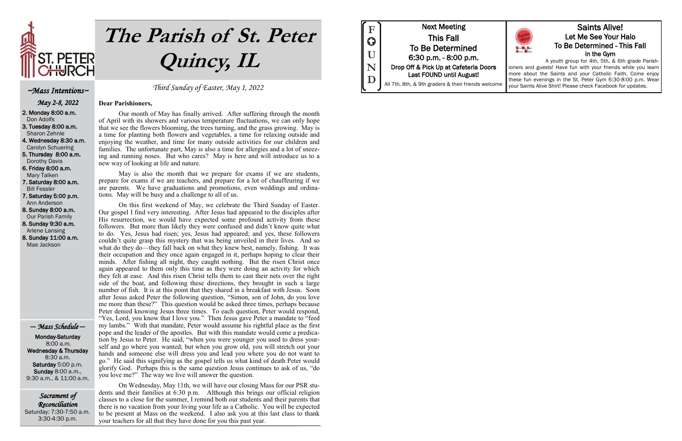

# **The Parish of St. Peter Quincy, IL**

Sacrament of Reconciliation Saturday: 7:30-7:50 a.m. 3:30-4:30 p.m.

Third Sunday of Easter, May 1, 2022

#### **Dear Parishioners,**

Our month of May has finally arrived. After suffering through the month of April with its showers and various temperature fluctuations, we can only hope that we see the flowers blooming, the trees turning, and the grass growing. May is a time for planting both flowers and vegetables, a time for relaxing outside and enjoying the weather, and time for many outside activities for our children and families. The unfortunate part, May is also a time for allergies and a lot of sneezing and running noses. But who cares? May is here and will introduce us to a new way of looking at life and nature.

May is also the month that we prepare for exams if we are students, prepare for exams if we are teachers, and prepare for a lot of chauffeuring if we are parents. We have graduations and promotions, even weddings and ordinations. May will be busy and a challenge to all of us.

On this first weekend of May, we celebrate the Third Sunday of Easter. Our gospel I find very interesting. After Jesus had appeared to the disciples after His resurrection, we would have expected some profound activity from these followers. But more than likely they were confused and didn't know quite what to do. Yes, Jesus had risen; yes, Jesus had appeared; and yes, these followers couldn't quite grasp this mystery that was being unveiled in their lives. And so what do they do—they fall back on what they knew best, namely, fishing. It was their occupation and they once again engaged in it, perhaps hoping to clear their minds. After fishing all night, they caught nothing. But the risen Christ once again appeared to them only this time as they were doing an activity for which they felt at ease. And this risen Christ tells them to cast their nets over the right side of the boat, and following these directions, they brought in such a large number of fish. It is at this point that they shared in a breakfast with Jesus. Soon after Jesus asked Peter the following question, "Simon, son of John, do you love me more than these?" This question would be asked three times, perhaps because Peter denied knowing Jesus three times. To each question, Peter would respond, "Yes, Lord, you know that I love you." Then Jesus gave Peter a mandate to "feed my lambs." With that mandate, Peter would assume his rightful place as the first pope and the leader of the apostles. But with this mandate would come a predication by Jesus to Peter. He said, "when you were younger you used to dress yourself and go where you wanted; but when you grow old, you will stretch out your hands and someone else will dress you and lead you where you do not want to go." He said this signifying as the gospel tells us what kind of death Peter would glorify God. Perhaps this is the same question Jesus continues to ask of us, "do you love me?" The way we live will answer the question.

On Wednesday, May 11th, we will have our closing Mass for our PSR students and their families at 6:30 p.m. Although this brings our official religion classes to a close for the summer, I remind both our students and their parents that there is no vacation from your living your life as a Catholic. You will be expected to be present at Mass on the weekend. I also ask you at this last class to thank your teachers for all that they have done for you this past year.



#### ~Mass Intentions~

May 2-8, 2022

2. Monday 8:00 a.m. Don Adolfs

3. Tuesday 8:00 a.m. Sharon Zehnle

4. Wednesday 8:30 a.m. Carolyn Schuering

5. Thursday 8:00 a.m. Dorothy Davis

6. Friday 8:00 a.m. Mary Talken

7. Saturday 8:00 a.m. Bill Fessler

7. Saturday 5:00 p.m. Ann Anderson

8. Sunday 8:00 a.m. Our Parish Family

8. Sunday 9:30 a.m. Arlene Lansing 8. Sunday 11:00 a.m.

Mae Jackson

— Mass Schedule —

Monday-Saturday 8:00 a.m. Wednesday & Thursday 8:30 a.m. Saturday 5:00 p.m. Sunday 8:00 a.m., 9:30 a.m., & 11:00 a.m.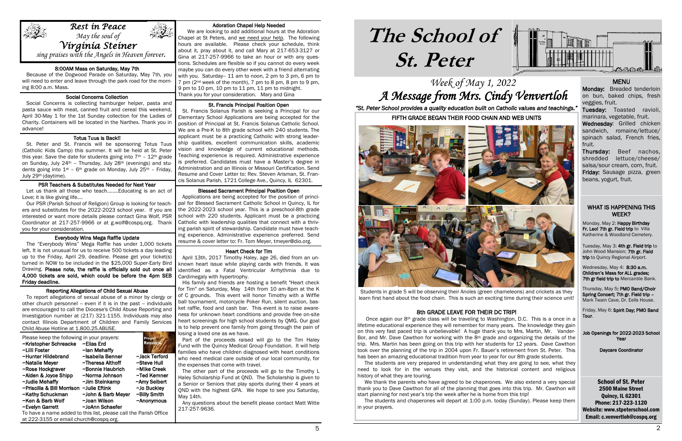### Week of May 1, 2022 A Message from Mrs. Cindy Venvertloh

## **The School of St. Peter**

School of St. Peter 2500 Maine Street Quincy, IL 62301 Phone: 217-223-1120 Website: www.stpeterschool.com Email: c.venvertloh@cospq.org

Monday, May 2: Happy Birthday Fr. Leo! 7th gr. Field trip to Villa Katherine & Woodland Cemetery.



*"St. Peter School provides a quality education built on Catholic values and teachings."*

#### WHAT IS HAPPENING THIS WEEK?

Tuesday, May 3: 4th gr. Field trip to John Wood Mansion; 7th gr. Field trip to Quincy Regional Airport.

Wednesday, May 4: 8:30 a.m. Children's Mass for ALL grades; 7th gr field trip to Mercantile Bank.

Thursday, May 5: PMO Band/Choir Spring Concert; 7th gr. Field trip – Mark Twain Cave, Dr. Eells House.

Friday, May 6: Spirit Day; PMO Band Tour.

Job Openings for 2022-2023 School Year

Daycare Coordinator

#### Adoration Chapel Help Needed

 We are looking to add additional hours at the Adoration Chapel at St Peters, and we need your help. The following hours are available. Please check your schedule, think about it, pray about it, and call Mary at 217-653-3127 or Gina at 217-257-9966 to take an hour or with any questions. Schedules are flexible so if you cannot do every week maybe you can do every other week with a friend alternating with you. Saturday-- 11 am to noon, 2 pm to 3 pm, 6 pm to 7 pm (2nd week of the month), 7 pm to 8 pm, 8 pm to 9 pm, 9 pm to 10 pm, 10 pm to 11 pm, 11 pm to midnight. Thank you for your consideration. Mary and Gina

#### St. Francis Principal Position Open

 St. Francis Solanus Parish is seeking a Principal for our Elementary School Applications are being accepted for the position of Principal at St. Francis Solanus Catholic School. We are a Pre-K to 8th grade school with 240 students. The applicant must be a practicing Catholic with strong leadership qualities, excellent communication skills, academic vision and knowledge of current educational methods. Teaching experience is required. Administrative experience is preferred. Candidates must have a Master's degree in Administration and an Illinois or Missouri Certification. Send Resume and Cover Letter to: Rev. Steven Arisman, St. Francis Solanus Parish, 1721 College Ave., Quincy, IL 62301.

#### Blessed Sacrament Principal Position Open

 Applications are being accepted for the position of principal for Blessed Sacrament Catholic School in Quincy, IL for the 2022-2023 school year. This is a preschool-8th grade school with 220 students. Applicant must be a practicing Catholic with leadership qualities that connect with a thriving parish spirit of stewardship. Candidate must have teaching experience. Administrative experience preferred. Send resume & cover letter to: Fr. Tom Meyer, tmeyer@dio.org.

#### Heart Check for Tim

 April 13th, 2017 Timothy Haley, age 26, died from an unknown heart issue while playing cards with friends. It was identified as a Fatal Ventricular Arrhythmia due to Cardimegaly with hypertrophy.

 His family and friends are hosting a benefit "Heart check for Tim" on Saturday, May 14th from 10 am-8pm at the K of C grounds. This event will honor Timothy with a Wiffle ball tournament, motorcycle Poker Run, silent auction, basket raffle, food and cash bar. This event is to raise awareness for unknown heart conditions and provide free on-site heart screenings for high school students by QMG. Our goal is to help prevent one family from going through the pain of losing a loved one as we have.

Wednesday: Grilled chicken sandwich, romaine/lettuce/ spinach salad, French fries, fruit.

 Part of the proceeds raised will go to the Tim Haley Fund with the Quincy Medical Group Foundation. It will help families who have children diagnosed with heart conditions who need medical care outside of our local community, for the expenses that come with travel.

 The other part of the proceeds will go to the Timothy L Haley Scholarship Fund at QND. The Scholarship is given to a Senior or Seniors that play sports during their 4 years at QND with the highest GPA. We hope to see you Saturday, May 14th.

 Any questions about the benefit please contact Matt Witte 217-257-9636.

Once again our  $8<sup>th</sup>$  grade class will be traveling to Washington, D.C. This is a once in a lifetime educational experience they will remember for many years. The knowledge they gain on this very fast paced trip is unbelievable! A huge thank you to Mrs. Martin, Mr. Vander-Bor, and Mr. Dave Cawthon for working with the 8<sup>th</sup> grade and organizing the details of the trip. Mrs. Martin has been going on this trip with her students for 12 years. Dave Cawthon took over the planning of the trip in 2004 upon Fr. Bauer's retirement from St. Peter. This has been an amazing educational tradition from year to year for our 8th grade students.

#### 8:00AM Mass on Saturday, May 7th

 Because of the Dogwood Parade on Saturday, May 7th, you will need to enter and leave through the park road for the morning 8:00 a.m. Mass.

#### **Social Concerns Collection**

 Social Concerns is collecting hamburger helper, pasta and pasta sauce with meat, canned fruit and cereal this weekend, April 30-May 1 for the 1st Sunday collection for the Ladies of Charity. Containers will be located in the Narthex. Thank you in advance!

#### Totus Tuus is Back!!

 St. Peter and St. Francis will be sponsoring Totus Tuus (Catholic Kids Camp) this summer. It will be held at St. Peter this year. Save the date for students going into  $7<sup>th</sup>$  –  $12<sup>th</sup>$  grade on Sunday, July 24th – Thursday, July 28th (evenings) and students going into  $1^{st}$  – 6<sup>th</sup> grade on Monday, July 25<sup>th</sup> – Friday, July 29th (daytime).

#### PSR Teachers & Substitutes Needed for Next Year

֬֕֜֡

 Let us thank all those who teach........Educating is an act of Love; it is like giving life....

 Our PSR (Parish School of Religion) Group is looking for teachers and substitutes for the 2022-2023 school year. If you are interested or want more details please contact Gina Wolf, PSR Coordinator at 217-257-9966 or at g.wolf@cospq.org. Thank you for your consideration.

#### Everybody Wins Mega Raffle Update

 The "Everybody Wins" Mega Raffle has under 1,000 tickets left. It is not unusual for us to receive 500 tickets a day leading up to the Friday, April 29, deadline. Please get your ticket(s) turned in NOW to be included in the \$25,000 Super-Early Bird Drawing. Please note, the raffle is officially sold out once all 4,000 tickets are sold, which could be before the 4pm SEB Friday deadline.

#### Reporting Allegations of Child Sexual Abuse

 To report allegations of sexual abuse of a minor by clergy or other church personnel -- even if it is in the past -- individuals are encouraged to call the Diocese's Child Abuse Reporting and Investigation number at (217) 321-1155. Individuals may also contact Illinois Department of Children and Family Services Child Abuse Hotline at 1.800.25.ABUSE.

| Please keep the following in your prayers:<br>~Kristopher Schreacke<br>~Lilli Foster | ~Elias Erd<br>~lan Mehaffy | Prayer<br><b>Requesta</b> |  |
|--------------------------------------------------------------------------------------|----------------------------|---------------------------|--|
| ~Hunter Hildebrand                                                                   | ~Isabella Benner           | ~Jack Terford             |  |
| ~Natalie Meyer                                                                       | ~Theresa Althoff           | ~Steve Hull               |  |
| ~Rose Hockgraver                                                                     | ~Bonnie Haubrich           | ~Mike Creek               |  |
| ~Alden & Joyce Shipp                                                                 | ~Norma Johnson             | ~Ted Kemner               |  |
| ~Judie Mehaffy                                                                       | ~Jim Steinkamp             | ~Amy Seibert              |  |
| ~Priscilla & Bill Morrison                                                           | ~Julie Eftink              | ~Jo Buckley               |  |
| ~Kathy Schuckman                                                                     | ~John & Barb Meyer         | ~Billy Smith              |  |
| ~Ken & Barb Wolf                                                                     | ~Joan Wilson               | $~\sim$ Anonymous         |  |
| ~Evelyn Garrett                                                                      | ~JoAnn Schaefer            |                           |  |
| To have a name added to this list, please call the Parish Office                     |                            |                           |  |
| at 222-3155 or email church@cospq.org.                                               |                            |                           |  |

#### MENU

Monday: Breaded tenderloin on bun, baked chips, fresh veggies, fruit.

Tuesday: Toasted ravioli, marinara, vegetable, fruit.

Thursday: Beef nachos, shredded lettuce/cheese/ salsa/sour cream, corn, fruit. Friday: Sausage pizza, green beans, yogurt, fruit.



1

sing praises with the Angels in Heaven forever.

FIFTH GRADE BEGAN THEIR FOOD CHAIN AND WEB UNITS



 Students in grade 5 will be observing their Anoles (green chameleons) and crickets as they learn first hand about the food chain. This is such an exciting time during their science unit!

#### 8th GRADE LEAVE FOR THEIR DC TRIP!

 The students are very prepared in understanding what they are going to see, what they need to look for in the venues they visit, and the historical content and religious history of what they are touring.

 We thank the parents who have agreed to be chaperones. We also extend a very special thank you to Dave Cawthon for all of the planning that goes into this trip. Mr. Cawthon will start planning for next year's trip the week after he is home from this trip!

 The students and chaperones will depart at 1:00 p.m. today (Sunday). Please keep them in your prayers.